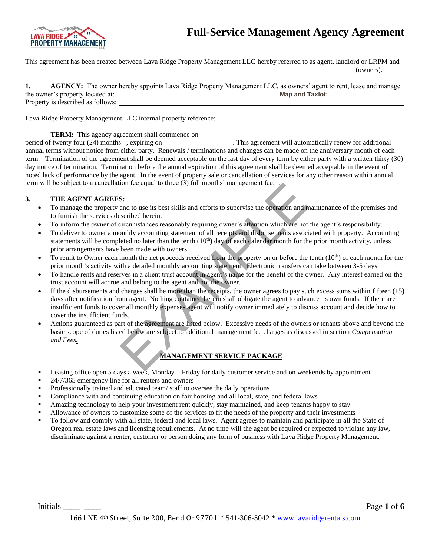



This agreement has been created between Lava Ridge Property Management LLC hereby referred to as agent, landlord or LRPM and (owners).

|                                   | AGENCY: The owner hereby appoints Lava Ridge Property Management LLC, as owners' agent to rent, lease and manage |  |
|-----------------------------------|------------------------------------------------------------------------------------------------------------------|--|
| the owner's property located at:  | <b>Map and Taxlot:</b>                                                                                           |  |
| Property is described as follows: |                                                                                                                  |  |

Lava Ridge Property Management LLC internal property reference:

**TERM:** This agency agreement shall commence on

period of twenty four (24) months , expiring on . This agreement will automatically renew for additional annual terms without notice from either party. Renewals / terminations and changes can be made on the anniversary month of each term. Termination of the agreement shall be deemed acceptable on the last day of every term by either party with a written thirty (30) day notice of termination. Termination before the annual expiration of this agreement shall be deemed acceptable in the event of noted lack of performance by the agent. In the event of property sale or cancellation of services for any other reason within annual term will be subject to a cancellation fee equal to three (3) full months' management fee. .

### **3. THE AGENT AGREES:**

- To manage the property and to use its best skills and efforts to supervise the operation and maintenance of the premises and to furnish the services described herein.
- To inform the owner of circumstances reasonably requiring owner's attention which are not the agent's responsibility.
- To deliver to owner a monthly accounting statement of all receipts and disbursements associated with property. Accounting statements will be completed no later than the tenth  $(10<sup>th</sup>)$  day of each calendar month for the prior month activity, unless prior arrangements have been made with owners.
- To remit to Owner each month the net proceeds received from the property on or before the tenth  $(10<sup>th</sup>)$  of each month for the prior month's activity with a detailed monthly accounting statement. Electronic transfers can take between 3-5 days.
- To handle rents and reserves in a client trust account in agent's name for the benefit of the owner. Any interest earned on the trust account will accrue and belong to the agent and not the owner.
- If the disbursements and charges shall be more than the receipts, the owner agrees to pay such excess sums within fifteen (15) days after notification from agent. Nothing contained herein shall obligate the agent to advance its own funds. If there are insufficient funds to cover all monthly expenses agent will notify owner immediately to discuss account and decide how to cover the insufficient funds. S:<br>
S:<br>
S:<br>
S:<br>
S:<br>
S:<br>
and to use its best skills and efforts to supervise the operation and m<br>
and to use its best skills and efforts to supervise the operation and m<br>
secribed herein.<br>
ircumstances reasonably requiring
- Actions guaranteed as part of the agreement are listed below. Excessive needs of the owners or tenants above and beyond the basic scope of duties listed below are subject to additional management fee charges as discussed in section *Compensation and Fees***.**

## **MANAGEMENT SERVICE PACKAGE**

- Leasing office open 5 days a week, Monday Friday for daily customer service and on weekends by appointment
- 24/7/365 emergency line for all renters and owners
- Professionally trained and educated team/ staff to oversee the daily operations
- Compliance with and continuing education on fair housing and all local, state, and federal laws
- Amazing technology to help your investment rent quickly, stay maintained, and keep tenants happy to stay
- Allowance of owners to customize some of the services to fit the needs of the property and their investments
- To follow and comply with all state, federal and local laws. Agent agrees to maintain and participate in all the State of Oregon real estate laws and licensing requirements. At no time will the agent be required or expected to violate any law, discriminate against a renter, customer or person doing any form of business with Lava Ridge Property Management.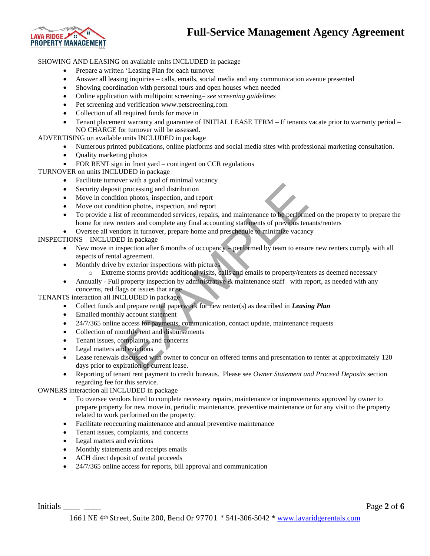## **Full-Service Management Agency Agreement**



SHOWING AND LEASING on available units INCLUDED in package

- Prepare a written 'Leasing Plan for each turnover
- Answer all leasing inquiries calls, emails, social media and any communication avenue presented
- Showing coordination with personal tours and open houses when needed
- Online application with multipoint screening– *see screening guidelines*
- Pet screening and verification www.petscreening.com
- Collection of all required funds for move in
- Tenant placement warranty and guarantee of INITIAL LEASE TERM If tenants vacate prior to warranty period NO CHARGE for turnover will be assessed.

ADVERTISING on available units INCLUDED in package

- Numerous printed publications, online platforms and social media sites with professional marketing consultation.
- Quality marketing photos
- FOR RENT sign in front yard contingent on CCR regulations

TURNOVER on units INCLUDED in package

- Facilitate turnover with a goal of minimal vacancy
- Security deposit processing and distribution
- Move in condition photos, inspection, and report
- Move out condition photos, inspection, and report
- To provide a list of recommended services, repairs, and maintenance to be performed on the property to prepare the home for new renters and complete any final accounting statements of previous tenants/renters For the space in the methanic relation<br>to processing and distribution<br>the processing and distribution<br>don photos, inspection, and report<br>tion photos, inspection, and report<br>of or freemmented services, repairs, and maintena
- Oversee all vendors in turnover, prepare home and preschedule to minimize vacancy

INSPECTIONS – INCLUDED in package

- New move in inspection after 6 months of occupancy performed by team to ensure new renters comply with all aspects of rental agreement.
- Monthly drive by exterior inspections with pictures
	- o Extreme storms provide additional visits, calls and emails to property/renters as deemed necessary
- Annually Full property inspection by administrative & maintenance staff –with report, as needed with any concerns, red flags or issues that arise

TENANTS interaction all INCLUDED in package

- Collect funds and prepare rental paperwork for new renter(s) as described in *Leasing Plan*
- Emailed monthly account statement
- 24/7/365 online access for payments, communication, contact update, maintenance requests
- Collection of monthly rent and disbursements
- Tenant issues, complaints, and concerns
- Legal matters and evictions
- Lease renewals discussed with owner to concur on offered terms and presentation to renter at approximately 120 days prior to expiration of current lease.
- Reporting of tenant rent payment to credit bureaus. Please see *Owner Statement and Proceed Deposits* section regarding fee for this service.

OWNERS interaction all INCLUDED in package

- To oversee vendors hired to complete necessary repairs, maintenance or improvements approved by owner to prepare property for new move in, periodic maintenance, preventive maintenance or for any visit to the property related to work performed on the property.
- Facilitate reoccurring maintenance and annual preventive maintenance
- Tenant issues, complaints, and concerns
- Legal matters and evictions
- Monthly statements and receipts emails
- ACH direct deposit of rental proceeds
- 24/7/365 online access for reports, bill approval and communication

Initials <u>and the set of  $\alpha$ </u> page 2 of 6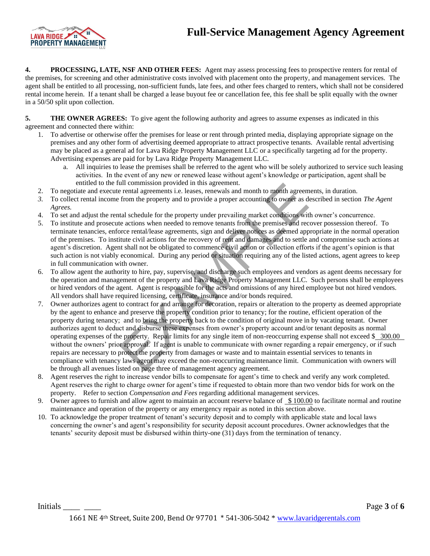# **Full-Service Management Agency Agreement**



**4. PROCESSING, LATE, NSF AND OTHER FEES:** Agent may assess processing fees to prospective renters for rental of the premises, for screening and other administrative costs involved with placement onto the property, and management services. The agent shall be entitled to all processing, non-sufficient funds, late fees, and other fees charged to renters, which shall not be considered rental income herein. If a tenant shall be charged a lease buyout fee or cancellation fee, this fee shall be split equally with the owner in a 50/50 split upon collection.

**5. THE OWNER AGREES:** To give agent the following authority and agrees to assume expenses as indicated in this agreement and connected there within:

- 1. To advertise or otherwise offer the premises for lease or rent through printed media, displaying appropriate signage on the premises and any other form of advertising deemed appropriate to attract prospective tenants. Available rental advertising may be placed as a general ad for Lava Ridge Property Management LLC or a specifically targeting ad for the property. Advertising expenses are paid for by Lava Ridge Property Management LLC.
	- a. All inquiries to lease the premises shall be referred to the agent who will be solely authorized to service such leasing activities. In the event of any new or renewed lease without agent's knowledge or participation, agent shall be entitled to the full commission provided in this agreement.
- 2. To negotiate and execute rental agreements i.e. leases, renewals and month to month agreements, in duration.
- *3.* To collect rental income from the property and to provide a proper accounting to owner as described in section *The Agent Agrees.*
- 4. To set and adjust the rental schedule for the property under prevailing market conditions with owner's concurrence.
- 5. To institute and prosecute actions when needed to remove tenants from the premises and recover possession thereof. To terminate tenancies, enforce rental/lease agreements, sign and deliver notices as deemed appropriate in the normal operation of the premises. To institute civil actions for the recovery of rent and damages and to settle and compromise such actions at agent's discretion. Agent shall not be obligated to commence civil action or collection efforts if the agent's opinion is that such action is not viably economical. During any period or situation requiring any of the listed actions, agent agrees to keep in full communication with owner.
- 6. To allow agent the authority to hire, pay, supervise, and discharge such employees and vendors as agent deems necessary for the operation and management of the property and Lava Ridge Property Management LLC. Such persons shall be employees or hired vendors of the agent. Agent is responsible for the acts and omissions of any hired employee but not hired vendors. All vendors shall have required licensing, certificate, insurance and/or bonds required.
- 7. Owner authorizes agent to contract for and arrange for decoration, repairs or alteration to the property as deemed appropriate by the agent to enhance and preserve the property condition prior to tenancy; for the routine, efficient operation of the property during tenancy; and to bring the property back to the condition of original move in by vacating tenant. Owner authorizes agent to deduct and disburse these expenses from owner's property account and/or tenant deposits as normal operating expenses of the property. Repair limits for any single item of non-reoccurring expense shall not exceed \$ 300.00 without the owners' prior approval. If agent is unable to communicate with owner regarding a repair emergency, or if such repairs are necessary to protect the property from damages or waste and to maintain essential services to tenants in compliance with tenancy laws agent may exceed the non-reoccurring maintenance limit. Communication with owners will be through all avenues listed on page three of management agency agreement. all commission provided in this agreement.<br>
rental agreements i.e. leases, renewals and month to month agreement<br>
from the property and to provide a proper accounting to owner as d<br>
from the property and to provide a prop
- 8. Agent reserves the right to increase vendor bills to compensate for agent's time to check and verify any work completed. Agent reserves the right to charge owner for agent's time if requested to obtain more than two vendor bids for work on the property. Refer to section *Compensation and Fees* regarding additional management services.
- 9. Owner agrees to furnish and allow agent to maintain an account reserve balance of  $$100.00$  to facilitate normal and routine maintenance and operation of the property or any emergency repair as noted in this section above.
- 10. To acknowledge the proper treatment of tenant's security deposit and to comply with applicable state and local laws concerning the owner's and agent's responsibility for security deposit account procedures. Owner acknowledges that the tenants' security deposit must be disbursed within thirty-one (31) days from the termination of tenancy.

Initials <u>and the set of the set of the set of the set of the set of the set of the set of the set of the set of the set of the set of the set of the set of the set of the set of the set of the set of the set of the set of</u> 1661 NE 4th Street, Suite 200, Bend Or 97701 \* 541-306-5042 \* [www.lavaridgerentals.com](http://www.lavaridgerentals.com/)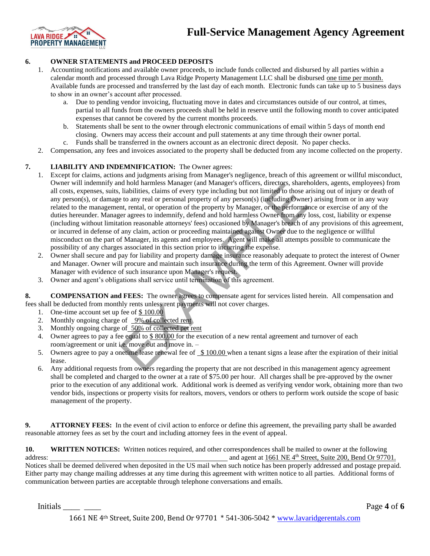

### **6. OWNER STATEMENTS and PROCEED DEPOSITS**

- 1. Accounting notifications and available owner proceeds, to include funds collected and disbursed by all parties within a calendar month and processed through Lava Ridge Property Management LLC shall be disbursed one time per month. Available funds are processed and transferred by the last day of each month. Electronic funds can take up to 5 business days to show in an owner's account after processed.
	- a. Due to pending vendor invoicing, fluctuating move in dates and circumstances outside of our control, at times, partial to all funds from the owners proceeds shall be held in reserve until the following month to cover anticipated expenses that cannot be covered by the current months proceeds.
	- b. Statements shall be sent to the owner through electronic communications of email within 5 days of month end closing. Owners may access their account and pull statements at any time through their owner portal.
	- c. Funds shall be transferred in the owners account as an electronic direct deposit. No paper checks.
- 2. Compensation, any fees and invoices associated to the property shall be deducted from any income collected on the property.

### **7. LIABILITY AND INDEMNIFICATION:** The Owner agrees:

- 1. Except for claims, actions and judgments arising from Manager's negligence, breach of this agreement or willful misconduct, Owner will indemnify and hold harmless Manager (and Manager's officers, directors, shareholders, agents, employees) from all costs, expenses, suits, liabilities, claims of every type including but not limited to those arising out of injury or death of any person(s), or damage to any real or personal property of any person(s) (including Owner) arising from or in any way related to the management, rental, or operation of the property by Manager, or the performance or exercise of any of the duties hereunder. Manager agrees to indemnify, defend and hold harmless Owner from any loss, cost, liability or expense (including without limitation reasonable attorneys' fees) occasioned by Manager's breach of any provisions of this agreement, or incurred in defense of any claim, action or proceeding maintained against Owner due to the negligence or willful misconduct on the part of Manager, its agents and employees. Agent will make all attempts possible to communicate the possibility of any charges associated in this section prior to incurring the expense. nd nota harmless Manager (and Managers officers, directors, sharen liabilities, claims of every type including but not limited to those and to easonal property of any person(s) (including Owner to any real or personal pro
- 2. Owner shall secure and pay for liability and property damage insurance reasonably adequate to protect the interest of Owner and Manager. Owner will procure and maintain such insurance during the term of this Agreement. Owner will provide Manager with evidence of such insurance upon Manager's request.
- 3. Owner and agent's obligations shall service until termination of this agreement.

**8. COMPENSATION and FEES:** The owner agrees to compensate agent for services listed herein. All compensation and fees shall be deducted from monthly rents unless rent payments will not cover charges.

- 1. One-time account set up fee of \$100.00
- 2. Monthly ongoing charge of 9% of collected rent
- 3. Monthly ongoing charge of 50% of collected pet rent
- 4. Owner agrees to pay a fee equal to \$ 800.00 for the execution of a new rental agreement and turnover of each room/agreement or unit i.e. move out and move in. –
- 5. Owners agree to pay a onetime lease renewal fee of \$ 100.00 when a tenant signs a lease after the expiration of their initial lease.
- 6. Any additional requests from owners regarding the property that are not described in this management agency agreement shall be completed and charged to the owner at a rate of \$75.00 per hour. All charges shall be pre-approved by the owner prior to the execution of any additional work. Additional work is deemed as verifying vendor work, obtaining more than two vendor bids, inspections or property visits for realtors, movers, vendors or others to perform work outside the scope of basic management of the property.

**9. ATTORNEY FEES:** In the event of civil action to enforce or define this agreement, the prevailing party shall be awarded reasonable attorney fees as set by the court and including attorney fees in the event of appeal.

**10. WRITTEN NOTICES:** Written notices required, and other correspondences shall be mailed to owner at the following address: and agent at 1661 NE 4<sup>th</sup> Street, Suite 200, Bend Or 97701.

Notices shall be deemed delivered when deposited in the US mail when such notice has been properly addressed and postage prepaid. Either party may change mailing addresses at any time during this agreement with written notice to all parties. Additional forms of communication between parties are acceptable through telephone conversations and emails.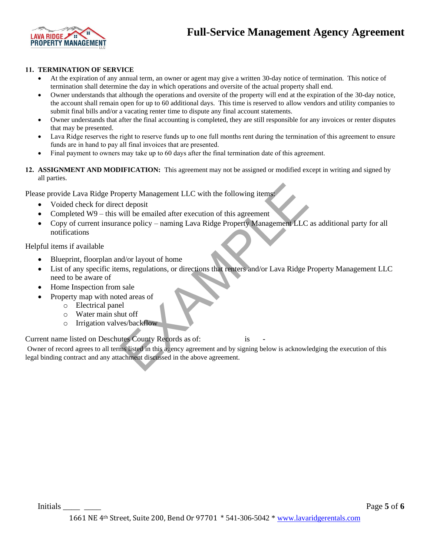



#### **11. TERMINATION OF SERVICE**

- At the expiration of any annual term, an owner or agent may give a written 30-day notice of termination. This notice of termination shall determine the day in which operations and oversite of the actual property shall end.
- Owner understands that although the operations and oversite of the property will end at the expiration of the 30-day notice, the account shall remain open for up to 60 additional days. This time is reserved to allow vendors and utility companies to submit final bills and/or a vacating renter time to dispute any final account statements.
- Owner understands that after the final accounting is completed, they are still responsible for any invoices or renter disputes that may be presented.
- Lava Ridge reserves the right to reserve funds up to one full months rent during the termination of this agreement to ensure funds are in hand to pay all final invoices that are presented.
- Final payment to owners may take up to 60 days after the final termination date of this agreement.
- **12. ASSIGNMENT AND MODIFICATION:** This agreement may not be assigned or modified except in writing and signed by all parties.

Please provide Lava Ridge Property Management LLC with the following items:

- Voided check for direct deposit
- Completed W9 this will be emailed after execution of this agreement
- Copy of current insurance policy naming Lava Ridge Property Management LLC as additional party for all notifications

Helpful items if available

- Blueprint, floorplan and/or layout of home
- List of any specific items, regulations, or directions that renters and/or Lava Ridge Property Management LLC need to be aware of methy Management LLC with the following items:<br>
Ext deposit<br>
will be emailed after execution of this agreement<br>
mce policy – naming Lava Ridge Property Management LLC as a<br>
nd/or layout of home<br>
ms, regulations, or directi
- Home Inspection from sale
- Property map with noted areas of
	- o Electrical panel
	- o Water main shut off
	- o Irrigation valves/backflow

Current name listed on Deschutes County Records as of: is

Owner of record agrees to all terms listed in this agency agreement and by signing below is acknowledging the execution of this legal binding contract and any attachment discussed in the above agreement.